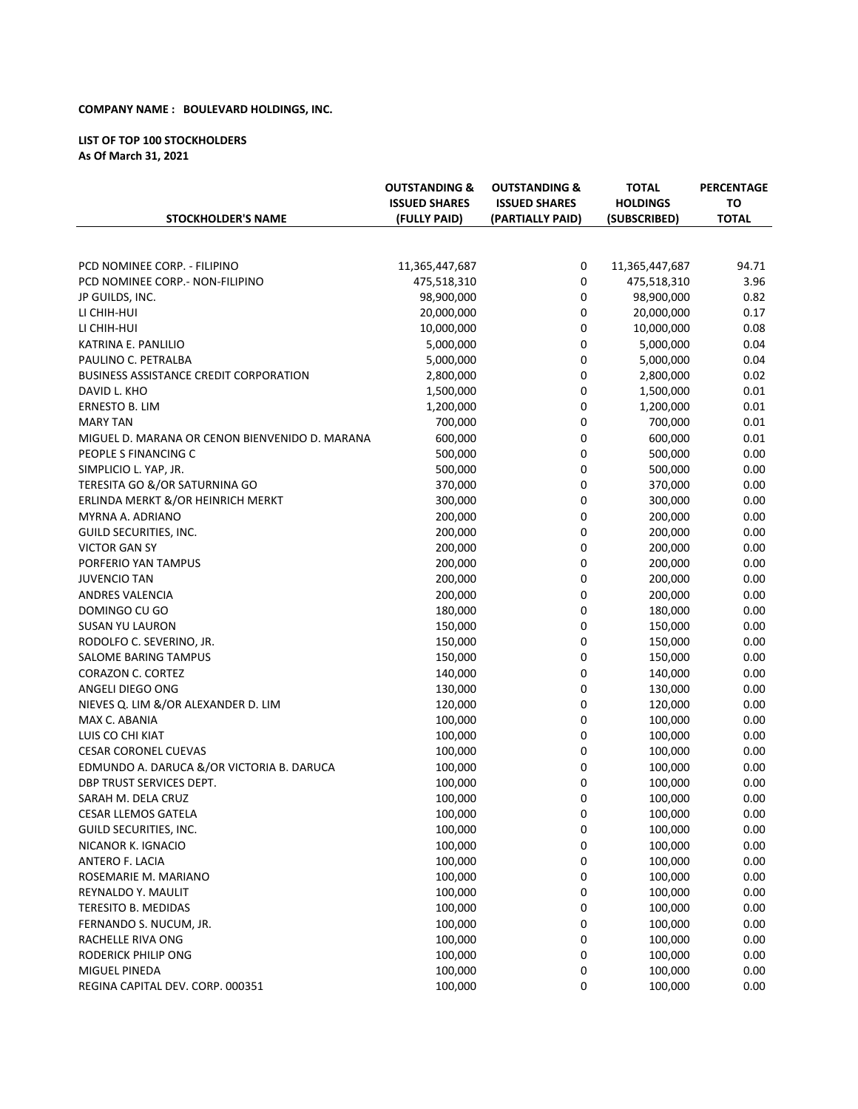## **COMPANY NAME : BOULEVARD HOLDINGS, INC.**

### LIST OF TOP 100 STOCKHOLDERS **As Of March 31, 2021**

| <b>STOCKHOLDER'S NAME</b>                      | <b>OUTSTANDING &amp;</b><br><b>ISSUED SHARES</b><br>(FULLY PAID) | <b>OUTSTANDING &amp;</b><br><b>ISSUED SHARES</b><br>(PARTIALLY PAID) | <b>TOTAL</b><br><b>HOLDINGS</b><br>(SUBSCRIBED) | <b>PERCENTAGE</b><br>то<br><b>TOTAL</b> |
|------------------------------------------------|------------------------------------------------------------------|----------------------------------------------------------------------|-------------------------------------------------|-----------------------------------------|
|                                                |                                                                  |                                                                      |                                                 |                                         |
| PCD NOMINEE CORP. - FILIPINO                   | 11,365,447,687                                                   | 0                                                                    | 11,365,447,687                                  | 94.71                                   |
| PCD NOMINEE CORP.- NON-FILIPINO                | 475,518,310                                                      | 0                                                                    | 475,518,310                                     | 3.96                                    |
| JP GUILDS, INC.                                | 98,900,000                                                       | 0                                                                    | 98,900,000                                      | 0.82                                    |
| LI CHIH-HUI                                    | 20,000,000                                                       | $\pmb{0}$                                                            | 20,000,000                                      | 0.17                                    |
| LI CHIH-HUI                                    | 10,000,000                                                       | $\pmb{0}$                                                            | 10,000,000                                      | 0.08                                    |
| KATRINA E. PANLILIO                            | 5,000,000                                                        | $\mathbf 0$                                                          | 5,000,000                                       | 0.04                                    |
| PAULINO C. PETRALBA                            | 5,000,000                                                        | $\mathbf 0$                                                          | 5,000,000                                       | 0.04                                    |
| <b>BUSINESS ASSISTANCE CREDIT CORPORATION</b>  | 2,800,000                                                        | 0                                                                    | 2,800,000                                       | 0.02                                    |
| DAVID L. KHO                                   | 1,500,000                                                        | $\mathbf 0$                                                          | 1,500,000                                       | 0.01                                    |
| ERNESTO B. LIM                                 | 1,200,000                                                        | $\mathbf 0$                                                          | 1,200,000                                       | 0.01                                    |
| <b>MARY TAN</b>                                | 700,000                                                          | $\mathbf 0$                                                          | 700,000                                         | 0.01                                    |
| MIGUEL D. MARANA OR CENON BIENVENIDO D. MARANA | 600,000                                                          | $\mathbf 0$                                                          | 600,000                                         | 0.01                                    |
| PEOPLE S FINANCING C                           | 500,000                                                          | 0                                                                    | 500,000                                         | 0.00                                    |
| SIMPLICIO L. YAP, JR.                          | 500,000                                                          | $\mathbf 0$                                                          | 500,000                                         | 0.00                                    |
| TERESITA GO &/OR SATURNINA GO                  | 370,000                                                          | $\mathbf 0$                                                          | 370,000                                         | 0.00                                    |
| ERLINDA MERKT &/OR HEINRICH MERKT              | 300,000                                                          | $\mathbf 0$                                                          | 300,000                                         | 0.00                                    |
| MYRNA A. ADRIANO                               | 200,000                                                          | $\mathbf 0$                                                          | 200,000                                         | 0.00                                    |
| GUILD SECURITIES, INC.                         | 200,000                                                          | $\mathbf 0$                                                          | 200,000                                         | 0.00                                    |
| <b>VICTOR GAN SY</b>                           | 200,000                                                          | $\pmb{0}$                                                            | 200,000                                         | 0.00                                    |
| PORFERIO YAN TAMPUS                            | 200,000                                                          | $\mathbf 0$                                                          | 200,000                                         | 0.00                                    |
| <b>JUVENCIO TAN</b>                            | 200,000                                                          | $\mathbf 0$                                                          | 200,000                                         | 0.00                                    |
| <b>ANDRES VALENCIA</b>                         | 200,000                                                          | $\mathbf 0$                                                          | 200,000                                         | 0.00                                    |
| DOMINGO CU GO                                  | 180,000                                                          | $\mathbf 0$                                                          | 180,000                                         | 0.00                                    |
| SUSAN YU LAURON                                | 150,000                                                          | $\mathbf 0$                                                          | 150,000                                         | 0.00                                    |
| RODOLFO C. SEVERINO, JR.                       | 150,000                                                          | $\mathbf 0$                                                          | 150,000                                         | 0.00                                    |
| SALOME BARING TAMPUS                           | 150,000                                                          | $\mathbf 0$                                                          | 150,000                                         | 0.00                                    |
| <b>CORAZON C. CORTEZ</b>                       | 140,000                                                          | $\mathbf 0$                                                          | 140,000                                         | 0.00                                    |
| ANGELI DIEGO ONG                               | 130,000                                                          | 0                                                                    | 130,000                                         | 0.00                                    |
| NIEVES Q. LIM &/OR ALEXANDER D. LIM            | 120,000                                                          | $\mathbf 0$                                                          | 120,000                                         | 0.00                                    |
|                                                |                                                                  | 0                                                                    |                                                 |                                         |
| MAX C. ABANIA                                  | 100,000                                                          |                                                                      | 100,000                                         | 0.00                                    |
| LUIS CO CHI KIAT                               | 100,000                                                          | $\mathbf 0$                                                          | 100,000                                         | 0.00                                    |
| <b>CESAR CORONEL CUEVAS</b>                    | 100,000                                                          | 0                                                                    | 100,000                                         | 0.00                                    |
| EDMUNDO A. DARUCA &/OR VICTORIA B. DARUCA      | 100,000                                                          | $\mathbf 0$                                                          | 100,000                                         | 0.00                                    |
| DBP TRUST SERVICES DEPT.                       | 100,000                                                          | $\mathbf 0$                                                          | 100,000                                         | 0.00                                    |
| SARAH M. DELA CRUZ                             | 100,000                                                          | 0                                                                    | 100,000                                         | 0.00                                    |
| <b>CESAR LLEMOS GATELA</b>                     | 100,000                                                          | 0                                                                    | 100,000                                         | 0.00                                    |
| GUILD SECURITIES, INC.                         | 100,000                                                          | $\mathbf 0$                                                          | 100,000                                         | 0.00                                    |
| NICANOR K. IGNACIO                             | 100,000                                                          | 0                                                                    | 100,000                                         | 0.00                                    |
| ANTERO F. LACIA                                | 100,000                                                          | 0                                                                    | 100,000                                         | 0.00                                    |
| ROSEMARIE M. MARIANO                           | 100,000                                                          | 0                                                                    | 100,000                                         | 0.00                                    |
| REYNALDO Y. MAULIT                             | 100,000                                                          | 0                                                                    | 100,000                                         | 0.00                                    |
| <b>TERESITO B. MEDIDAS</b>                     | 100,000                                                          | $\pmb{0}$                                                            | 100,000                                         | 0.00                                    |
| FERNANDO S. NUCUM, JR.                         | 100,000                                                          | 0                                                                    | 100,000                                         | 0.00                                    |
| RACHELLE RIVA ONG                              | 100,000                                                          | $\mathbf 0$                                                          | 100,000                                         | 0.00                                    |
| RODERICK PHILIP ONG                            | 100,000                                                          | 0                                                                    | 100,000                                         | 0.00                                    |
| MIGUEL PINEDA                                  | 100,000                                                          | $\pmb{0}$                                                            | 100,000                                         | 0.00                                    |
| REGINA CAPITAL DEV. CORP. 000351               | 100,000                                                          | $\mathbf 0$                                                          | 100,000                                         | 0.00                                    |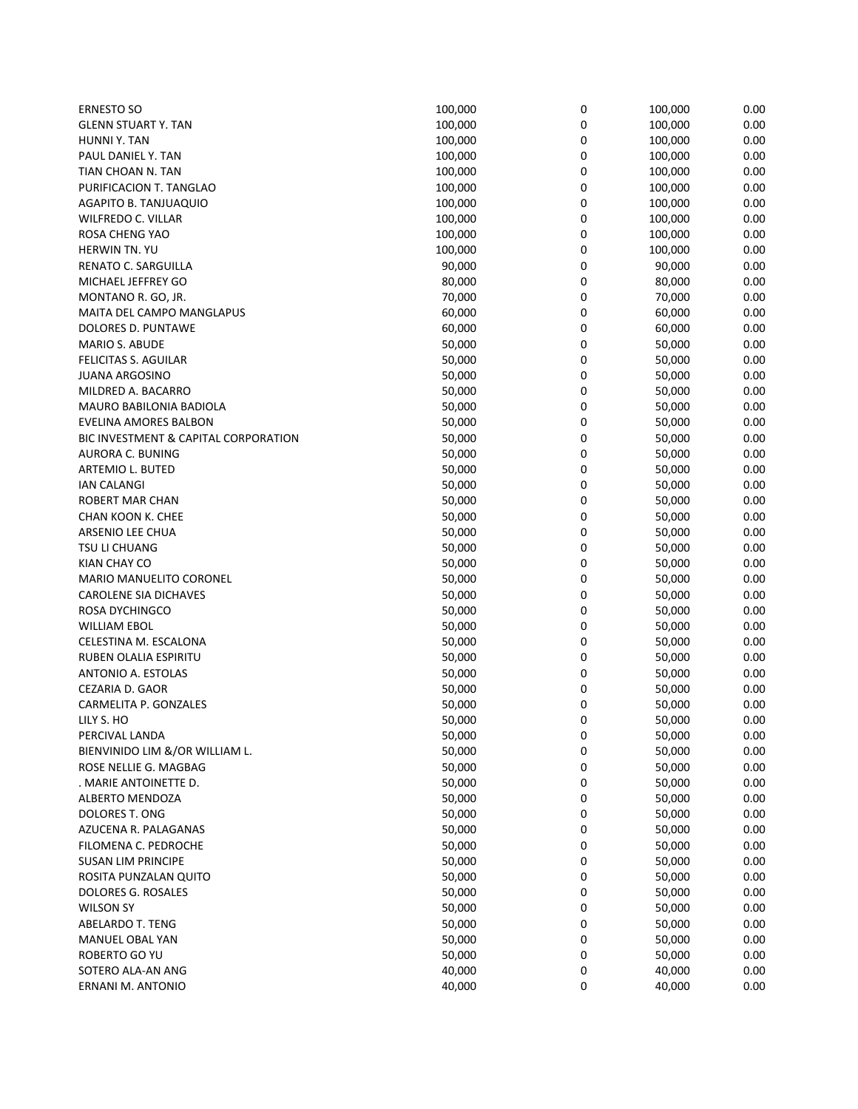| <b>ERNESTO SO</b>                    | 100,000 | 0 | 100,000 | 0.00 |
|--------------------------------------|---------|---|---------|------|
| <b>GLENN STUART Y. TAN</b>           | 100,000 | 0 | 100,000 | 0.00 |
| HUNNI Y. TAN                         | 100,000 | 0 | 100,000 | 0.00 |
| PAUL DANIEL Y. TAN                   | 100,000 | 0 | 100,000 | 0.00 |
| TIAN CHOAN N. TAN                    | 100,000 | 0 | 100,000 | 0.00 |
| PURIFICACION T. TANGLAO              | 100,000 | 0 | 100,000 | 0.00 |
| AGAPITO B. TANJUAQUIO                | 100,000 | 0 | 100,000 | 0.00 |
| WILFREDO C. VILLAR                   | 100,000 | 0 | 100,000 | 0.00 |
| ROSA CHENG YAO                       | 100,000 | 0 | 100,000 | 0.00 |
| <b>HERWIN TN. YU</b>                 | 100,000 | 0 | 100,000 | 0.00 |
| RENATO C. SARGUILLA                  | 90,000  | 0 | 90,000  | 0.00 |
| MICHAEL JEFFREY GO                   | 80,000  | 0 | 80,000  | 0.00 |
| MONTANO R. GO, JR.                   | 70,000  | 0 | 70,000  | 0.00 |
| MAITA DEL CAMPO MANGLAPUS            | 60,000  | 0 | 60,000  | 0.00 |
| DOLORES D. PUNTAWE                   | 60,000  | 0 | 60,000  | 0.00 |
| <b>MARIO S. ABUDE</b>                | 50,000  | 0 | 50,000  | 0.00 |
| <b>FELICITAS S. AGUILAR</b>          | 50,000  | 0 | 50,000  | 0.00 |
| <b>JUANA ARGOSINO</b>                | 50,000  | 0 | 50,000  | 0.00 |
| MILDRED A. BACARRO                   | 50,000  | 0 | 50,000  | 0.00 |
| MAURO BABILONIA BADIOLA              | 50,000  | 0 | 50,000  | 0.00 |
| EVELINA AMORES BALBON                | 50,000  | 0 | 50,000  | 0.00 |
| BIC INVESTMENT & CAPITAL CORPORATION | 50,000  | 0 | 50,000  | 0.00 |
| AURORA C. BUNING                     | 50,000  | 0 | 50,000  | 0.00 |
| <b>ARTEMIO L. BUTED</b>              | 50,000  | 0 | 50,000  | 0.00 |
| <b>IAN CALANGI</b>                   | 50,000  | 0 | 50,000  | 0.00 |
| ROBERT MAR CHAN                      | 50,000  | 0 | 50,000  | 0.00 |
| CHAN KOON K. CHEE                    | 50,000  | 0 | 50,000  | 0.00 |
| ARSENIO LEE CHUA                     | 50,000  | 0 | 50,000  | 0.00 |
| TSU LI CHUANG                        | 50,000  | 0 | 50,000  | 0.00 |
| KIAN CHAY CO                         | 50,000  | 0 | 50,000  | 0.00 |
| <b>MARIO MANUELITO CORONEL</b>       | 50,000  | 0 | 50,000  | 0.00 |
| <b>CAROLENE SIA DICHAVES</b>         | 50,000  | 0 | 50,000  | 0.00 |
| ROSA DYCHINGCO                       | 50,000  | 0 | 50,000  | 0.00 |
| <b>WILLIAM EBOL</b>                  | 50,000  | 0 | 50,000  | 0.00 |
| CELESTINA M. ESCALONA                | 50,000  | 0 | 50,000  | 0.00 |
| RUBEN OLALIA ESPIRITU                | 50,000  | 0 | 50,000  | 0.00 |
| ANTONIO A. ESTOLAS                   | 50,000  | 0 | 50,000  | 0.00 |
| CEZARIA D. GAOR                      | 50,000  | 0 | 50,000  | 0.00 |
| CARMELITA P. GONZALES                | 50,000  | 0 | 50,000  | 0.00 |
| LILY S. HO                           | 50,000  | 0 | 50,000  | 0.00 |
| PERCIVAL LANDA                       | 50,000  | 0 | 50,000  | 0.00 |
| BIENVINIDO LIM &/OR WILLIAM L.       | 50,000  | 0 | 50,000  | 0.00 |
| ROSE NELLIE G. MAGBAG                | 50,000  | 0 | 50,000  | 0.00 |
| . MARIE ANTOINETTE D.                | 50,000  | 0 | 50,000  | 0.00 |
| ALBERTO MENDOZA                      | 50,000  | 0 | 50,000  | 0.00 |
| <b>DOLORES T. ONG</b>                | 50,000  | 0 | 50,000  | 0.00 |
| AZUCENA R. PALAGANAS                 | 50,000  | 0 | 50,000  | 0.00 |
| FILOMENA C. PEDROCHE                 | 50,000  | 0 | 50,000  | 0.00 |
| <b>SUSAN LIM PRINCIPE</b>            | 50,000  | 0 | 50,000  | 0.00 |
| ROSITA PUNZALAN QUITO                | 50,000  | 0 | 50,000  | 0.00 |
| DOLORES G. ROSALES                   | 50,000  | 0 | 50,000  | 0.00 |
| <b>WILSON SY</b>                     | 50,000  | 0 | 50,000  | 0.00 |
| ABELARDO T. TENG                     | 50,000  | 0 | 50,000  | 0.00 |
| MANUEL OBAL YAN                      | 50,000  | 0 | 50,000  | 0.00 |
| ROBERTO GO YU                        | 50,000  | 0 | 50,000  | 0.00 |
| SOTERO ALA-AN ANG                    | 40,000  | 0 | 40,000  | 0.00 |
| ERNANI M. ANTONIO                    | 40,000  | 0 | 40,000  | 0.00 |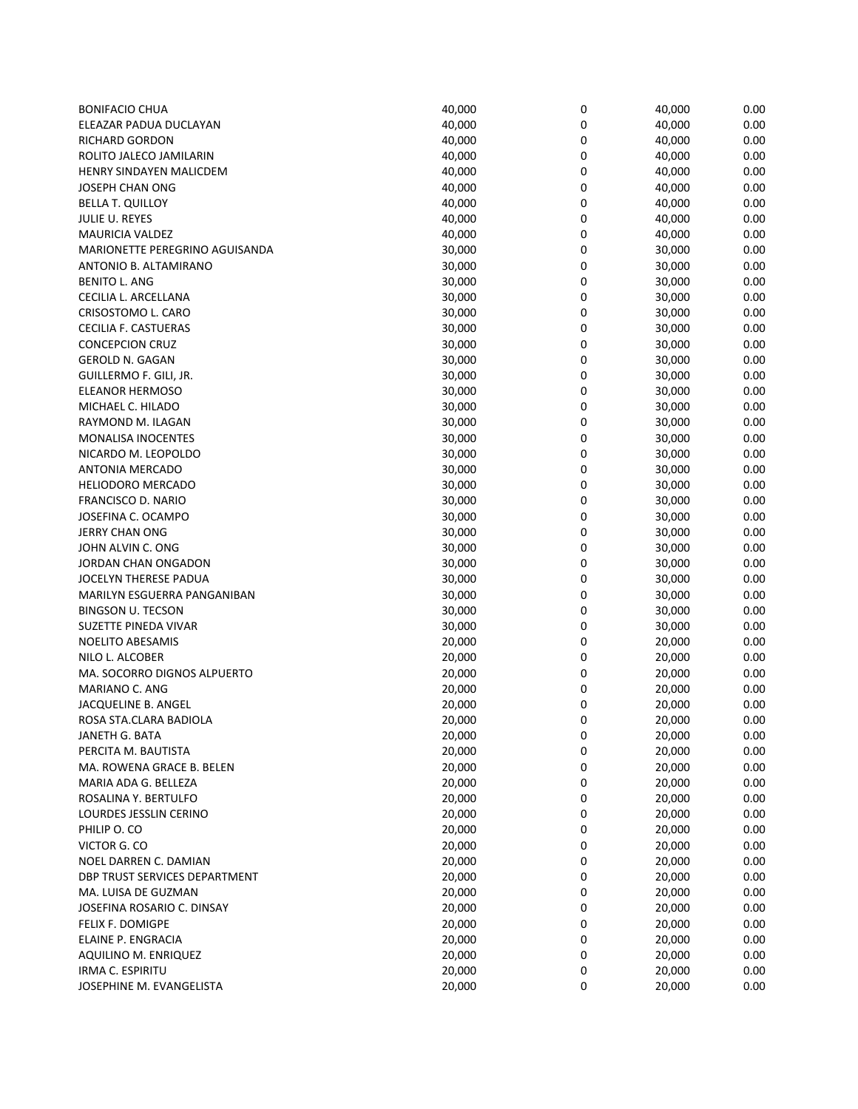| <b>BONIFACIO CHUA</b>                 | 40,000 | 0 | 40,000 | 0.00 |
|---------------------------------------|--------|---|--------|------|
| ELEAZAR PADUA DUCLAYAN                | 40,000 | 0 | 40,000 | 0.00 |
| <b>RICHARD GORDON</b>                 | 40,000 | 0 | 40,000 | 0.00 |
| ROLITO JALECO JAMILARIN               | 40,000 | 0 | 40,000 | 0.00 |
| <b>HENRY SINDAYEN MALICDEM</b>        | 40,000 | 0 | 40,000 | 0.00 |
| JOSEPH CHAN ONG                       | 40,000 | 0 | 40,000 | 0.00 |
| <b>BELLA T. QUILLOY</b>               | 40,000 | 0 | 40,000 | 0.00 |
| JULIE U. REYES                        | 40,000 | 0 | 40,000 | 0.00 |
| <b>MAURICIA VALDEZ</b>                | 40,000 | 0 | 40,000 | 0.00 |
| <b>MARIONETTE PEREGRINO AGUISANDA</b> | 30,000 | 0 | 30,000 | 0.00 |
| ANTONIO B. ALTAMIRANO                 | 30,000 | 0 | 30,000 | 0.00 |
| <b>BENITO L. ANG</b>                  | 30,000 | 0 | 30,000 | 0.00 |
| CECILIA L. ARCELLANA                  | 30,000 | 0 | 30,000 | 0.00 |
| CRISOSTOMO L. CARO                    | 30,000 | 0 | 30,000 | 0.00 |
| CECILIA F. CASTUERAS                  | 30,000 | 0 | 30,000 | 0.00 |
| <b>CONCEPCION CRUZ</b>                | 30,000 | 0 | 30,000 | 0.00 |
| <b>GEROLD N. GAGAN</b>                | 30,000 | 0 | 30,000 | 0.00 |
| GUILLERMO F. GILI, JR.                | 30,000 | 0 | 30,000 | 0.00 |
| <b>ELEANOR HERMOSO</b>                | 30,000 | 0 | 30,000 | 0.00 |
| MICHAEL C. HILADO                     | 30,000 | 0 | 30,000 | 0.00 |
| RAYMOND M. ILAGAN                     | 30,000 | 0 | 30,000 | 0.00 |
| <b>MONALISA INOCENTES</b>             | 30,000 | 0 | 30,000 | 0.00 |
| NICARDO M. LEOPOLDO                   | 30,000 | 0 | 30,000 | 0.00 |
| <b>ANTONIA MERCADO</b>                | 30,000 | 0 | 30,000 | 0.00 |
| <b>HELIODORO MERCADO</b>              | 30,000 | 0 | 30,000 | 0.00 |
| FRANCISCO D. NARIO                    | 30,000 | 0 | 30,000 | 0.00 |
| JOSEFINA C. OCAMPO                    | 30,000 | 0 | 30,000 | 0.00 |
| <b>JERRY CHAN ONG</b>                 | 30,000 | 0 | 30,000 | 0.00 |
| JOHN ALVIN C. ONG                     | 30,000 | 0 | 30,000 | 0.00 |
| JORDAN CHAN ONGADON                   | 30,000 | 0 | 30,000 | 0.00 |
| JOCELYN THERESE PADUA                 | 30,000 | 0 | 30,000 | 0.00 |
| MARILYN ESGUERRA PANGANIBAN           | 30,000 | 0 | 30,000 | 0.00 |
| <b>BINGSON U. TECSON</b>              | 30,000 | 0 | 30,000 | 0.00 |
| SUZETTE PINEDA VIVAR                  | 30,000 | 0 | 30,000 | 0.00 |
| <b>NOELITO ABESAMIS</b>               | 20,000 | 0 | 20,000 | 0.00 |
| NILO L. ALCOBER                       | 20,000 | 0 | 20,000 | 0.00 |
| MA. SOCORRO DIGNOS ALPUERTO           | 20,000 | 0 | 20,000 | 0.00 |
| MARIANO C. ANG                        | 20,000 | 0 | 20,000 | 0.00 |
| JACQUELINE B. ANGEL                   | 20,000 | 0 | 20,000 | 0.00 |
| ROSA STA.CLARA BADIOLA                | 20,000 | 0 | 20,000 | 0.00 |
| JANETH G. BATA                        | 20,000 | 0 | 20,000 | 0.00 |
| PERCITA M. BAUTISTA                   | 20,000 | 0 | 20,000 | 0.00 |
| MA. ROWENA GRACE B. BELEN             | 20,000 | 0 | 20,000 | 0.00 |
| MARIA ADA G. BELLEZA                  | 20,000 | 0 | 20,000 | 0.00 |
| ROSALINA Y. BERTULFO                  | 20,000 | 0 | 20,000 | 0.00 |
| LOURDES JESSLIN CERINO                | 20,000 | 0 | 20,000 | 0.00 |
| PHILIP O. CO                          | 20,000 | 0 | 20,000 | 0.00 |
| VICTOR G. CO                          | 20,000 | 0 | 20,000 | 0.00 |
| NOEL DARREN C. DAMIAN                 | 20,000 | 0 | 20,000 | 0.00 |
| <b>DBP TRUST SERVICES DEPARTMENT</b>  | 20,000 | 0 | 20,000 | 0.00 |
| MA. LUISA DE GUZMAN                   | 20,000 | 0 | 20,000 | 0.00 |
| JOSEFINA ROSARIO C. DINSAY            | 20,000 | 0 | 20,000 | 0.00 |
| FELIX F. DOMIGPE                      | 20,000 | 0 | 20,000 | 0.00 |
| ELAINE P. ENGRACIA                    | 20,000 | 0 | 20,000 | 0.00 |
| AQUILINO M. ENRIQUEZ                  | 20,000 | 0 | 20,000 | 0.00 |
| IRMA C. ESPIRITU                      | 20,000 | 0 | 20,000 | 0.00 |
| JOSEPHINE M. EVANGELISTA              | 20,000 | 0 | 20,000 | 0.00 |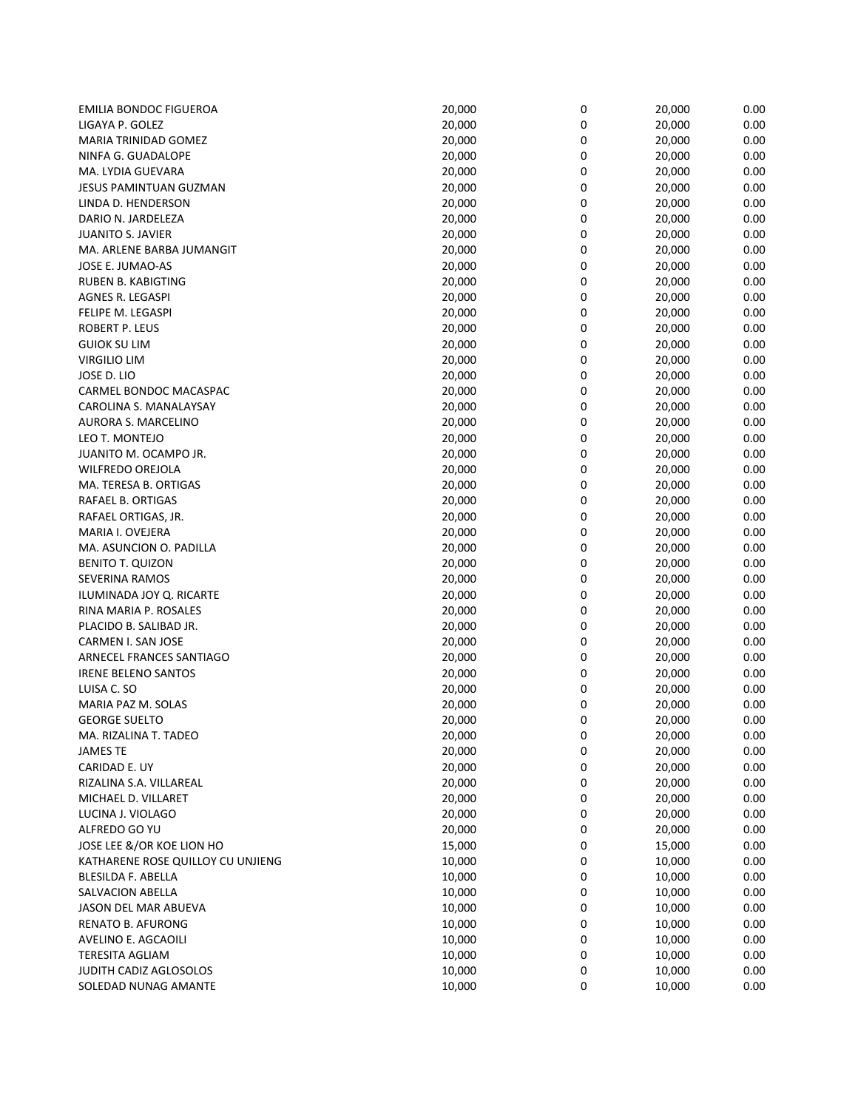| <b>EMILIA BONDOC FIGUEROA</b>     | 20,000 | 0 | 20,000 | 0.00 |
|-----------------------------------|--------|---|--------|------|
| LIGAYA P. GOLEZ                   | 20,000 | 0 | 20,000 | 0.00 |
| MARIA TRINIDAD GOMEZ              | 20,000 | 0 | 20,000 | 0.00 |
| NINFA G. GUADALOPE                | 20,000 | 0 | 20,000 | 0.00 |
| MA. LYDIA GUEVARA                 | 20,000 | 0 | 20,000 | 0.00 |
| JESUS PAMINTUAN GUZMAN            | 20,000 | 0 | 20,000 | 0.00 |
| LINDA D. HENDERSON                | 20,000 | 0 | 20,000 | 0.00 |
| DARIO N. JARDELEZA                | 20,000 | 0 | 20,000 | 0.00 |
| <b>JUANITO S. JAVIER</b>          | 20,000 | 0 | 20,000 | 0.00 |
| MA. ARLENE BARBA JUMANGIT         | 20,000 | 0 | 20,000 | 0.00 |
| JOSE E. JUMAO-AS                  | 20,000 | 0 | 20,000 | 0.00 |
| RUBEN B. KABIGTING                | 20,000 | 0 | 20,000 | 0.00 |
| AGNES R. LEGASPI                  | 20,000 | 0 | 20,000 | 0.00 |
| FELIPE M. LEGASPI                 | 20,000 | 0 | 20,000 | 0.00 |
| ROBERT P. LEUS                    | 20,000 | 0 | 20,000 | 0.00 |
| <b>GUIOK SU LIM</b>               | 20,000 | 0 | 20,000 | 0.00 |
| VIRGILIO LIM                      | 20,000 | 0 | 20,000 | 0.00 |
| JOSE D. LIO                       | 20,000 | 0 | 20,000 | 0.00 |
| CARMEL BONDOC MACASPAC            | 20,000 | 0 | 20,000 | 0.00 |
| CAROLINA S. MANALAYSAY            | 20,000 | 0 | 20,000 | 0.00 |
| AURORA S. MARCELINO               | 20,000 | 0 | 20,000 | 0.00 |
| LEO T. MONTEJO                    | 20,000 | 0 | 20,000 | 0.00 |
| JUANITO M. OCAMPO JR.             | 20,000 | 0 | 20,000 | 0.00 |
| <b>WILFREDO OREJOLA</b>           | 20,000 | 0 | 20,000 | 0.00 |
| MA. TERESA B. ORTIGAS             | 20,000 | 0 | 20,000 | 0.00 |
| RAFAEL B. ORTIGAS                 | 20,000 | 0 | 20,000 | 0.00 |
| RAFAEL ORTIGAS, JR.               | 20,000 | 0 | 20,000 | 0.00 |
| MARIA I. OVEJERA                  | 20,000 | 0 | 20,000 | 0.00 |
| MA. ASUNCION O. PADILLA           | 20,000 | 0 | 20,000 | 0.00 |
| <b>BENITO T. QUIZON</b>           | 20,000 | 0 | 20,000 | 0.00 |
| <b>SEVERINA RAMOS</b>             | 20,000 | 0 | 20,000 | 0.00 |
| ILUMINADA JOY Q. RICARTE          | 20,000 | 0 | 20,000 | 0.00 |
| RINA MARIA P. ROSALES             | 20,000 | 0 | 20,000 | 0.00 |
| PLACIDO B. SALIBAD JR.            | 20,000 | 0 | 20,000 | 0.00 |
| CARMEN I. SAN JOSE                | 20,000 | 0 | 20,000 | 0.00 |
| ARNECEL FRANCES SANTIAGO          | 20,000 | 0 | 20,000 | 0.00 |
| <b>IRENE BELENO SANTOS</b>        | 20,000 | 0 | 20,000 | 0.00 |
| LUISA C. SO                       | 20,000 | 0 | 20,000 | 0.00 |
| MARIA PAZ M. SOLAS                | 20,000 | 0 | 20,000 | 0.00 |
| <b>GEORGE SUELTO</b>              | 20,000 | 0 | 20,000 | 0.00 |
| MA. RIZALINA T. TADEO             | 20,000 | 0 | 20,000 | 0.00 |
| <b>JAMES TE</b>                   | 20,000 | 0 | 20,000 | 0.00 |
| CARIDAD E. UY                     | 20,000 | 0 | 20,000 | 0.00 |
| RIZALINA S.A. VILLAREAL           | 20,000 | 0 | 20,000 | 0.00 |
| MICHAEL D. VILLARET               | 20,000 | 0 | 20,000 | 0.00 |
| LUCINA J. VIOLAGO                 | 20,000 | 0 | 20,000 | 0.00 |
| ALFREDO GO YU                     | 20,000 | 0 | 20,000 | 0.00 |
| JOSE LEE &/OR KOE LION HO         | 15,000 | 0 | 15,000 | 0.00 |
| KATHARENE ROSE QUILLOY CU UNJIENG | 10,000 | 0 | 10,000 | 0.00 |
| BLESILDA F. ABELLA                | 10,000 | 0 | 10,000 | 0.00 |
| SALVACION ABELLA                  | 10,000 | 0 | 10,000 | 0.00 |
| JASON DEL MAR ABUEVA              | 10,000 | 0 | 10,000 | 0.00 |
| <b>RENATO B. AFURONG</b>          | 10,000 | 0 | 10,000 | 0.00 |
| AVELINO E. AGCAOILI               | 10,000 | 0 | 10,000 | 0.00 |
| <b>TERESITA AGLIAM</b>            | 10,000 | 0 | 10,000 | 0.00 |
| <b>JUDITH CADIZ AGLOSOLOS</b>     | 10,000 | 0 | 10,000 | 0.00 |
| SOLEDAD NUNAG AMANTE              | 10,000 | 0 | 10,000 | 0.00 |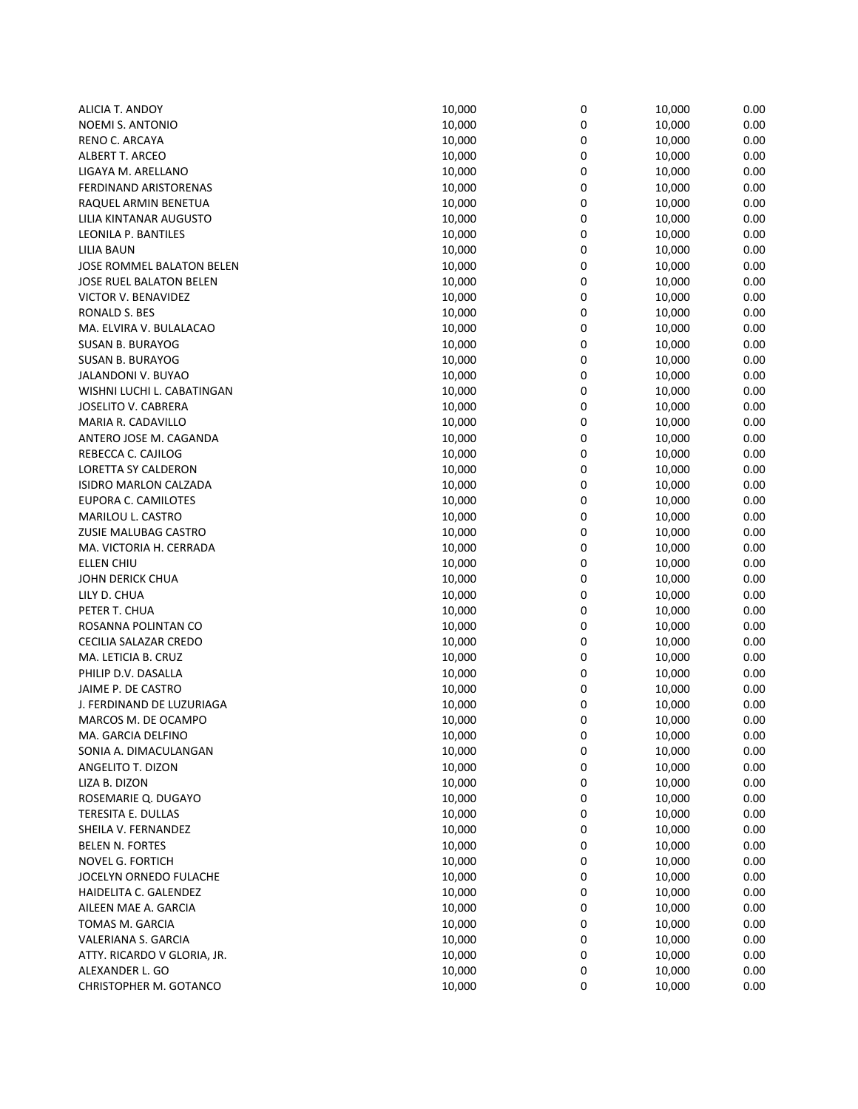| ALICIA T. ANDOY                | 10,000 | 0 | 10,000 | 0.00 |
|--------------------------------|--------|---|--------|------|
| <b>NOEMI S. ANTONIO</b>        | 10,000 | 0 | 10,000 | 0.00 |
| RENO C. ARCAYA                 | 10,000 | 0 | 10,000 | 0.00 |
| <b>ALBERT T. ARCEO</b>         | 10,000 | 0 | 10,000 | 0.00 |
| LIGAYA M. ARELLANO             | 10,000 | 0 | 10,000 | 0.00 |
| <b>FERDINAND ARISTORENAS</b>   | 10,000 | 0 | 10,000 | 0.00 |
| RAQUEL ARMIN BENETUA           | 10,000 | 0 | 10,000 | 0.00 |
| LILIA KINTANAR AUGUSTO         | 10,000 | 0 | 10,000 | 0.00 |
| LEONILA P. BANTILES            | 10,000 | 0 | 10,000 | 0.00 |
| LILIA BAUN                     | 10,000 | 0 | 10,000 | 0.00 |
| JOSE ROMMEL BALATON BELEN      | 10,000 | 0 | 10,000 | 0.00 |
| <b>JOSE RUEL BALATON BELEN</b> | 10,000 | 0 | 10,000 | 0.00 |
| <b>VICTOR V. BENAVIDEZ</b>     | 10,000 | 0 | 10,000 | 0.00 |
| RONALD S. BES                  | 10,000 | 0 | 10,000 | 0.00 |
| MA. ELVIRA V. BULALACAO        | 10,000 | 0 | 10,000 | 0.00 |
| <b>SUSAN B. BURAYOG</b>        | 10,000 | 0 | 10,000 | 0.00 |
| <b>SUSAN B. BURAYOG</b>        | 10,000 | 0 | 10,000 | 0.00 |
| JALANDONI V. BUYAO             | 10,000 | 0 | 10,000 | 0.00 |
| WISHNI LUCHI L. CABATINGAN     | 10,000 | 0 | 10,000 | 0.00 |
| JOSELITO V. CABRERA            | 10,000 | 0 | 10,000 | 0.00 |
| MARIA R. CADAVILLO             | 10,000 | 0 | 10,000 | 0.00 |
| ANTERO JOSE M. CAGANDA         | 10,000 | 0 | 10,000 | 0.00 |
| REBECCA C. CAJILOG             | 10,000 | 0 | 10,000 | 0.00 |
| LORETTA SY CALDERON            | 10,000 | 0 | 10,000 | 0.00 |
| ISIDRO MARLON CALZADA          | 10,000 | 0 | 10,000 | 0.00 |
| EUPORA C. CAMILOTES            | 10,000 | 0 | 10,000 | 0.00 |
| MARILOU L. CASTRO              | 10,000 | 0 | 10,000 | 0.00 |
| ZUSIE MALUBAG CASTRO           | 10,000 | 0 | 10,000 | 0.00 |
| MA. VICTORIA H. CERRADA        | 10,000 | 0 | 10,000 | 0.00 |
| ELLEN CHIU                     | 10,000 | 0 | 10,000 | 0.00 |
| JOHN DERICK CHUA               | 10,000 | 0 | 10,000 | 0.00 |
| LILY D. CHUA                   | 10,000 | 0 | 10,000 | 0.00 |
| PETER T. CHUA                  | 10,000 | 0 | 10,000 | 0.00 |
| ROSANNA POLINTAN CO            | 10,000 | 0 | 10,000 | 0.00 |
| CECILIA SALAZAR CREDO          | 10,000 | 0 | 10,000 | 0.00 |
| MA. LETICIA B. CRUZ            | 10,000 | 0 | 10,000 | 0.00 |
| PHILIP D.V. DASALLA            | 10,000 | 0 | 10,000 | 0.00 |
| JAIME P. DE CASTRO             | 10,000 | 0 | 10,000 | 0.00 |
| J. FERDINAND DE LUZURIAGA      | 10,000 | 0 | 10,000 | 0.00 |
| MARCOS M. DE OCAMPO            | 10,000 | 0 | 10,000 | 0.00 |
| MA. GARCIA DELFINO             | 10,000 | 0 | 10,000 | 0.00 |
| SONIA A. DIMACULANGAN          | 10,000 | 0 | 10,000 | 0.00 |
| ANGELITO T. DIZON              | 10,000 | 0 | 10,000 | 0.00 |
| LIZA B. DIZON                  | 10,000 | 0 | 10,000 | 0.00 |
| ROSEMARIE Q. DUGAYO            | 10,000 | 0 | 10,000 | 0.00 |
| TERESITA E. DULLAS             | 10,000 | 0 | 10,000 | 0.00 |
| SHEILA V. FERNANDEZ            | 10,000 | 0 | 10,000 | 0.00 |
| <b>BELEN N. FORTES</b>         | 10,000 | 0 | 10,000 | 0.00 |
| <b>NOVEL G. FORTICH</b>        | 10,000 | 0 | 10,000 | 0.00 |
| JOCELYN ORNEDO FULACHE         | 10,000 | 0 | 10,000 | 0.00 |
| HAIDELITA C. GALENDEZ          | 10,000 | 0 | 10,000 | 0.00 |
| AILEEN MAE A. GARCIA           | 10,000 | 0 | 10,000 | 0.00 |
| TOMAS M. GARCIA                | 10,000 | 0 | 10,000 | 0.00 |
| VALERIANA S. GARCIA            | 10,000 | 0 | 10,000 | 0.00 |
| ATTY. RICARDO V GLORIA, JR.    | 10,000 | 0 | 10,000 | 0.00 |
| ALEXANDER L. GO                | 10,000 | 0 | 10,000 | 0.00 |
| CHRISTOPHER M. GOTANCO         | 10,000 | 0 | 10,000 | 0.00 |
|                                |        |   |        |      |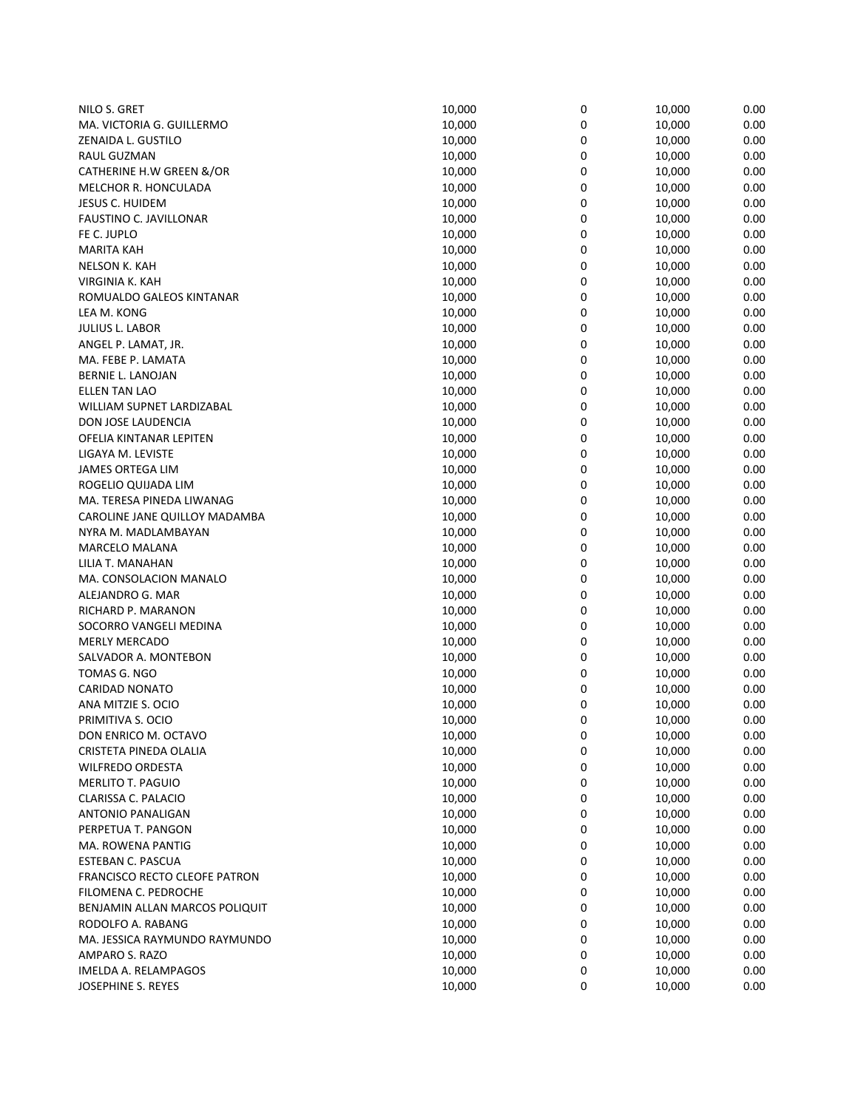| NILO S. GRET                         | 10,000 | 0 | 10,000 | 0.00 |
|--------------------------------------|--------|---|--------|------|
| MA. VICTORIA G. GUILLERMO            | 10,000 | 0 | 10,000 | 0.00 |
| ZENAIDA L. GUSTILO                   | 10,000 | 0 | 10,000 | 0.00 |
| RAUL GUZMAN                          | 10,000 | 0 | 10,000 | 0.00 |
| CATHERINE H.W GREEN &/OR             | 10,000 | 0 | 10,000 | 0.00 |
| MELCHOR R. HONCULADA                 | 10,000 | 0 | 10,000 | 0.00 |
| <b>JESUS C. HUIDEM</b>               | 10,000 | 0 | 10,000 | 0.00 |
| FAUSTINO C. JAVILLONAR               | 10,000 | 0 | 10,000 | 0.00 |
| FE C. JUPLO                          | 10,000 | 0 | 10,000 | 0.00 |
| MARITA KAH                           | 10,000 | 0 | 10,000 | 0.00 |
| NELSON K. KAH                        | 10,000 | 0 | 10,000 | 0.00 |
| VIRGINIA K. KAH                      | 10,000 | 0 | 10,000 | 0.00 |
| ROMUALDO GALEOS KINTANAR             | 10,000 | 0 | 10,000 | 0.00 |
| LEA M. KONG                          | 10,000 | 0 | 10,000 | 0.00 |
| JULIUS L. LABOR                      | 10,000 | 0 | 10,000 | 0.00 |
| ANGEL P. LAMAT, JR.                  | 10,000 | 0 | 10,000 | 0.00 |
| MA. FEBE P. LAMATA                   | 10,000 | 0 | 10,000 | 0.00 |
| BERNIE L. LANOJAN                    | 10,000 | 0 | 10,000 | 0.00 |
| <b>ELLEN TAN LAO</b>                 | 10,000 | 0 | 10,000 | 0.00 |
| WILLIAM SUPNET LARDIZABAL            | 10,000 | 0 | 10,000 | 0.00 |
| DON JOSE LAUDENCIA                   | 10,000 | 0 | 10,000 | 0.00 |
| OFELIA KINTANAR LEPITEN              | 10,000 | 0 | 10,000 | 0.00 |
| LIGAYA M. LEVISTE                    | 10,000 | 0 | 10,000 | 0.00 |
| <b>JAMES ORTEGA LIM</b>              | 10,000 | 0 | 10,000 | 0.00 |
| ROGELIO QUIJADA LIM                  | 10,000 | 0 | 10,000 | 0.00 |
| MA. TERESA PINEDA LIWANAG            | 10,000 | 0 | 10,000 | 0.00 |
| CAROLINE JANE QUILLOY MADAMBA        | 10,000 | 0 | 10,000 | 0.00 |
| NYRA M. MADLAMBAYAN                  | 10,000 | 0 | 10,000 | 0.00 |
| <b>MARCELO MALANA</b>                | 10,000 | 0 | 10,000 | 0.00 |
| LILIA T. MANAHAN                     | 10,000 | 0 | 10,000 | 0.00 |
| MA. CONSOLACION MANALO               | 10,000 | 0 | 10,000 | 0.00 |
| ALEJANDRO G. MAR                     | 10,000 | 0 | 10,000 | 0.00 |
| RICHARD P. MARANON                   | 10,000 | 0 | 10,000 | 0.00 |
| SOCORRO VANGELI MEDINA               | 10,000 | 0 | 10,000 | 0.00 |
| <b>MERLY MERCADO</b>                 | 10,000 | 0 | 10,000 | 0.00 |
| SALVADOR A. MONTEBON                 | 10,000 | 0 | 10,000 | 0.00 |
| TOMAS G. NGO                         | 10,000 | 0 | 10,000 | 0.00 |
| <b>CARIDAD NONATO</b>                | 10,000 | 0 | 10,000 | 0.00 |
| ANA MITZIE S. OCIO                   | 10,000 | 0 | 10,000 | 0.00 |
| PRIMITIVA S. OCIO                    | 10,000 | 0 | 10,000 | 0.00 |
| DON ENRICO M. OCTAVO                 | 10,000 | 0 | 10,000 | 0.00 |
| CRISTETA PINEDA OLALIA               | 10,000 | 0 | 10,000 | 0.00 |
| <b>WILFREDO ORDESTA</b>              | 10,000 | 0 | 10,000 | 0.00 |
| <b>MERLITO T. PAGUIO</b>             | 10,000 | 0 | 10,000 | 0.00 |
| CLARISSA C. PALACIO                  | 10,000 | 0 | 10,000 | 0.00 |
| <b>ANTONIO PANALIGAN</b>             | 10,000 | 0 | 10,000 | 0.00 |
| PERPETUA T. PANGON                   | 10,000 | 0 | 10,000 | 0.00 |
| MA. ROWENA PANTIG                    | 10,000 | 0 | 10,000 | 0.00 |
| ESTEBAN C. PASCUA                    | 10,000 | 0 | 10,000 | 0.00 |
| <b>FRANCISCO RECTO CLEOFE PATRON</b> | 10,000 | 0 | 10,000 | 0.00 |
| FILOMENA C. PEDROCHE                 | 10,000 | 0 | 10,000 | 0.00 |
| BENJAMIN ALLAN MARCOS POLIQUIT       | 10,000 | 0 | 10,000 | 0.00 |
| RODOLFO A. RABANG                    | 10,000 | 0 | 10,000 | 0.00 |
| MA. JESSICA RAYMUNDO RAYMUNDO        | 10,000 | 0 | 10,000 | 0.00 |
| AMPARO S. RAZO                       | 10,000 | 0 | 10,000 | 0.00 |
| IMELDA A. RELAMPAGOS                 | 10,000 | 0 | 10,000 | 0.00 |
| JOSEPHINE S. REYES                   | 10,000 | 0 | 10,000 | 0.00 |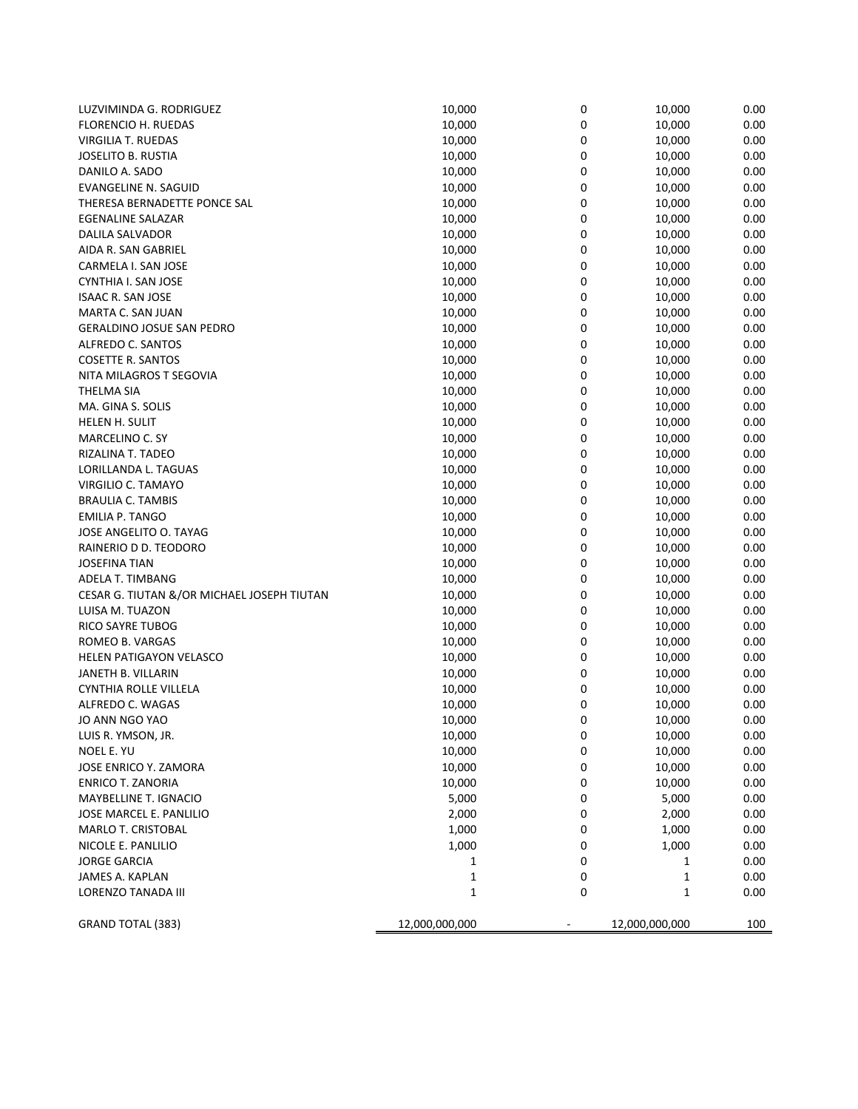| LUZVIMINDA G. RODRIGUEZ                    | 10,000         | 0 | 10,000         | 0.00 |
|--------------------------------------------|----------------|---|----------------|------|
| FLORENCIO H. RUEDAS                        | 10,000         | 0 | 10,000         | 0.00 |
| <b>VIRGILIA T. RUEDAS</b>                  | 10,000         | 0 | 10,000         | 0.00 |
| JOSELITO B. RUSTIA                         | 10,000         | 0 | 10,000         | 0.00 |
| DANILO A. SADO                             | 10,000         | 0 | 10,000         | 0.00 |
| <b>EVANGELINE N. SAGUID</b>                | 10,000         | 0 | 10,000         | 0.00 |
| THERESA BERNADETTE PONCE SAL               | 10,000         | 0 | 10,000         | 0.00 |
| <b>EGENALINE SALAZAR</b>                   | 10,000         | 0 | 10,000         | 0.00 |
| DALILA SALVADOR                            | 10,000         | 0 | 10,000         | 0.00 |
| AIDA R. SAN GABRIEL                        | 10,000         | 0 | 10,000         | 0.00 |
| CARMELA I. SAN JOSE                        | 10,000         | 0 | 10,000         | 0.00 |
| CYNTHIA I. SAN JOSE                        | 10,000         | 0 | 10,000         | 0.00 |
| <b>ISAAC R. SAN JOSE</b>                   | 10,000         | 0 | 10,000         | 0.00 |
| MARTA C. SAN JUAN                          | 10,000         | 0 | 10,000         | 0.00 |
| <b>GERALDINO JOSUE SAN PEDRO</b>           | 10,000         | 0 | 10,000         | 0.00 |
| ALFREDO C. SANTOS                          | 10,000         | 0 | 10,000         | 0.00 |
| <b>COSETTE R. SANTOS</b>                   | 10,000         | 0 | 10,000         | 0.00 |
| NITA MILAGROS T SEGOVIA                    | 10,000         | 0 | 10,000         | 0.00 |
| THELMA SIA                                 | 10,000         | 0 | 10,000         | 0.00 |
| MA. GINA S. SOLIS                          | 10,000         | 0 | 10,000         | 0.00 |
| HELEN H. SULIT                             | 10,000         | 0 | 10,000         | 0.00 |
| MARCELINO C. SY                            | 10,000         | 0 | 10,000         | 0.00 |
| RIZALINA T. TADEO                          | 10,000         | 0 | 10,000         | 0.00 |
| LORILLANDA L. TAGUAS                       | 10,000         | 0 | 10,000         | 0.00 |
| VIRGILIO C. TAMAYO                         | 10,000         | 0 | 10,000         | 0.00 |
| <b>BRAULIA C. TAMBIS</b>                   | 10,000         | 0 | 10,000         | 0.00 |
| <b>EMILIA P. TANGO</b>                     | 10,000         | 0 | 10,000         | 0.00 |
| JOSE ANGELITO O. TAYAG                     | 10,000         | 0 | 10,000         | 0.00 |
| RAINERIO D D. TEODORO                      | 10,000         | 0 | 10,000         | 0.00 |
| <b>JOSEFINA TIAN</b>                       | 10,000         | 0 | 10,000         | 0.00 |
| ADELA T. TIMBANG                           | 10,000         | 0 | 10,000         | 0.00 |
| CESAR G. TIUTAN &/OR MICHAEL JOSEPH TIUTAN | 10,000         | 0 | 10,000         | 0.00 |
| LUISA M. TUAZON                            | 10,000         | 0 | 10,000         | 0.00 |
| <b>RICO SAYRE TUBOG</b>                    | 10,000         | 0 | 10,000         | 0.00 |
| ROMEO B. VARGAS                            | 10,000         | 0 | 10,000         | 0.00 |
| <b>HELEN PATIGAYON VELASCO</b>             | 10,000         | 0 | 10,000         | 0.00 |
| JANETH B. VILLARIN                         | 10,000         | 0 | 10,000         | 0.00 |
| CYNTHIA ROLLE VILLELA                      | 10,000         | 0 | 10,000         | 0.00 |
| ALFREDO C. WAGAS                           | 10,000         | 0 | 10,000         | 0.00 |
| JO ANN NGO YAO                             | 10,000         | 0 | 10,000         | 0.00 |
| LUIS R. YMSON, JR.                         | 10,000         | 0 | 10,000         | 0.00 |
| NOEL E. YU                                 | 10,000         | 0 | 10,000         | 0.00 |
| JOSE ENRICO Y. ZAMORA                      | 10,000         | 0 | 10,000         | 0.00 |
| <b>ENRICO T. ZANORIA</b>                   | 10,000         | 0 | 10,000         | 0.00 |
| MAYBELLINE T. IGNACIO                      | 5,000          | 0 | 5,000          | 0.00 |
| JOSE MARCEL E. PANLILIO                    | 2,000          | 0 | 2,000          | 0.00 |
| MARLO T. CRISTOBAL                         | 1,000          | 0 | 1,000          | 0.00 |
| NICOLE E. PANLILIO                         | 1,000          | 0 | 1,000          | 0.00 |
| <b>JORGE GARCIA</b>                        | 1              | 0 | 1              | 0.00 |
| JAMES A. KAPLAN                            | $\mathbf{1}$   | 0 | 1              | 0.00 |
| LORENZO TANADA III                         | $\mathbf{1}$   | 0 | 1              | 0.00 |
|                                            |                |   |                |      |
| GRAND TOTAL (383)                          | 12,000,000,000 |   | 12,000,000,000 | 100  |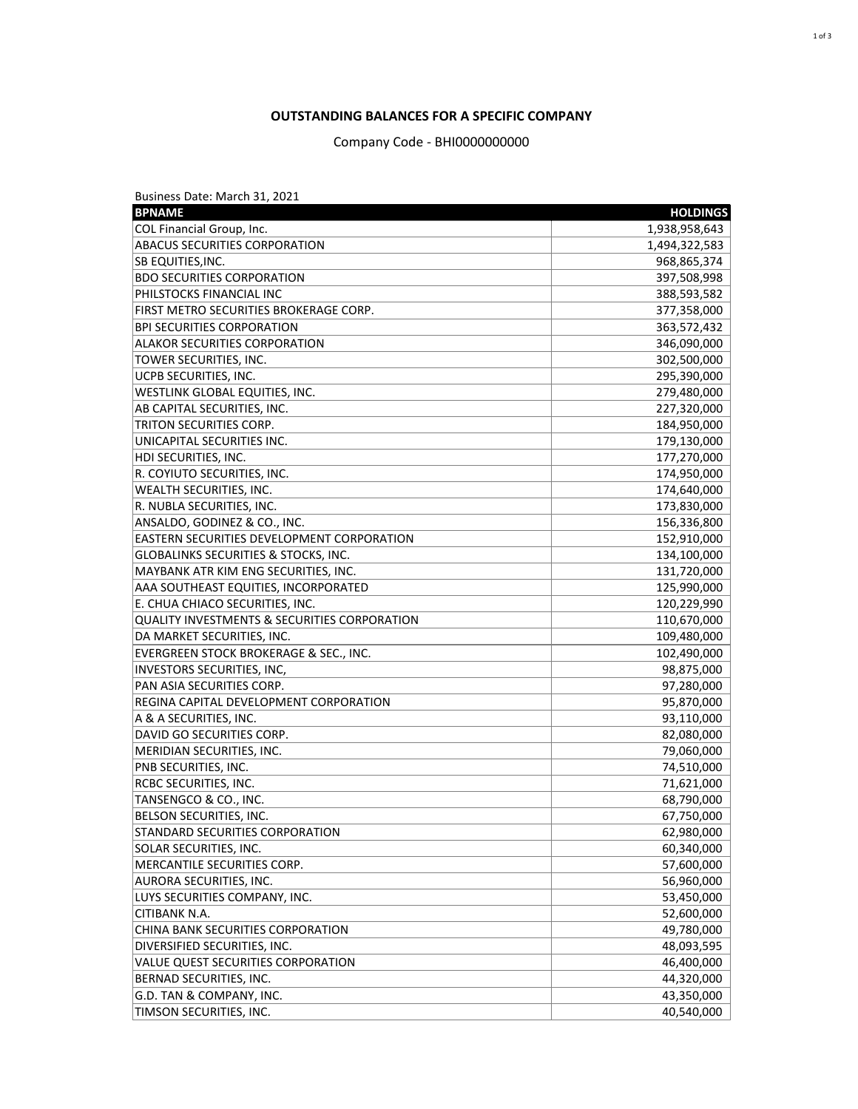Business Date: March 31, 2021

| <b>BPNAME</b>                                           | <b>HOLDINGS</b> |
|---------------------------------------------------------|-----------------|
| <b>COL Financial Group, Inc.</b>                        | 1,938,958,643   |
| <b>ABACUS SECURITIES CORPORATION</b>                    | 1,494,322,583   |
| SB EQUITIES, INC.                                       | 968,865,374     |
| <b>BDO SECURITIES CORPORATION</b>                       | 397,508,998     |
| PHILSTOCKS FINANCIAL INC                                | 388,593,582     |
| FIRST METRO SECURITIES BROKERAGE CORP.                  | 377,358,000     |
| <b>BPI SECURITIES CORPORATION</b>                       | 363,572,432     |
| <b>ALAKOR SECURITIES CORPORATION</b>                    | 346,090,000     |
| TOWER SECURITIES, INC.                                  | 302,500,000     |
| UCPB SECURITIES, INC.                                   | 295,390,000     |
| <b>WESTLINK GLOBAL EQUITIES, INC.</b>                   | 279,480,000     |
| AB CAPITAL SECURITIES, INC.                             | 227,320,000     |
| TRITON SECURITIES CORP.                                 | 184,950,000     |
| UNICAPITAL SECURITIES INC.                              | 179,130,000     |
| HDI SECURITIES, INC.                                    | 177,270,000     |
| R. COYIUTO SECURITIES, INC.                             | 174,950,000     |
| <b>WEALTH SECURITIES, INC.</b>                          | 174,640,000     |
| R. NUBLA SECURITIES, INC.                               | 173,830,000     |
| ANSALDO, GODINEZ & CO., INC.                            | 156,336,800     |
| <b>EASTERN SECURITIES DEVELOPMENT CORPORATION</b>       | 152,910,000     |
| <b>GLOBALINKS SECURITIES &amp; STOCKS, INC.</b>         | 134,100,000     |
| MAYBANK ATR KIM ENG SECURITIES, INC.                    | 131,720,000     |
| AAA SOUTHEAST EQUITIES, INCORPORATED                    | 125,990,000     |
| E. CHUA CHIACO SECURITIES, INC.                         | 120,229,990     |
| <b>QUALITY INVESTMENTS &amp; SECURITIES CORPORATION</b> | 110,670,000     |
| DA MARKET SECURITIES, INC.                              | 109,480,000     |
| EVERGREEN STOCK BROKERAGE & SEC., INC.                  | 102,490,000     |
| INVESTORS SECURITIES, INC,                              | 98,875,000      |
| PAN ASIA SECURITIES CORP.                               | 97,280,000      |
| REGINA CAPITAL DEVELOPMENT CORPORATION                  | 95,870,000      |
| A & A SECURITIES, INC.                                  | 93,110,000      |
| DAVID GO SECURITIES CORP.                               | 82,080,000      |
| MERIDIAN SECURITIES, INC.                               | 79,060,000      |
| PNB SECURITIES, INC.                                    | 74,510,000      |
| RCBC SECURITIES, INC.                                   | 71,621,000      |
| TANSENGCO & CO., INC.                                   | 68,790,000      |
| <b>BELSON SECURITIES, INC.</b>                          | 67,750,000      |
| STANDARD SECURITIES CORPORATION                         | 62,980,000      |
| SOLAR SECURITIES, INC.                                  | 60,340,000      |
| <b>MERCANTILE SECURITIES CORP.</b>                      | 57,600,000      |
| <b>AURORA SECURITIES, INC.</b>                          | 56,960,000      |
| LUYS SECURITIES COMPANY, INC.                           | 53,450,000      |
| <b>CITIBANK N.A.</b>                                    | 52,600,000      |
| <b>CHINA BANK SECURITIES CORPORATION</b>                | 49,780,000      |
| DIVERSIFIED SECURITIES, INC.                            | 48,093,595      |
| <b>VALUE QUEST SECURITIES CORPORATION</b>               | 46,400,000      |
| <b>BERNAD SECURITIES, INC.</b>                          | 44,320,000      |
| G.D. TAN & COMPANY, INC.                                | 43,350,000      |
| TIMSON SECURITIES, INC.                                 | 40,540,000      |

## **OUTSTANDING BALANCES FOR A SPECIFIC COMPANY**

Company Code - BHI0000000000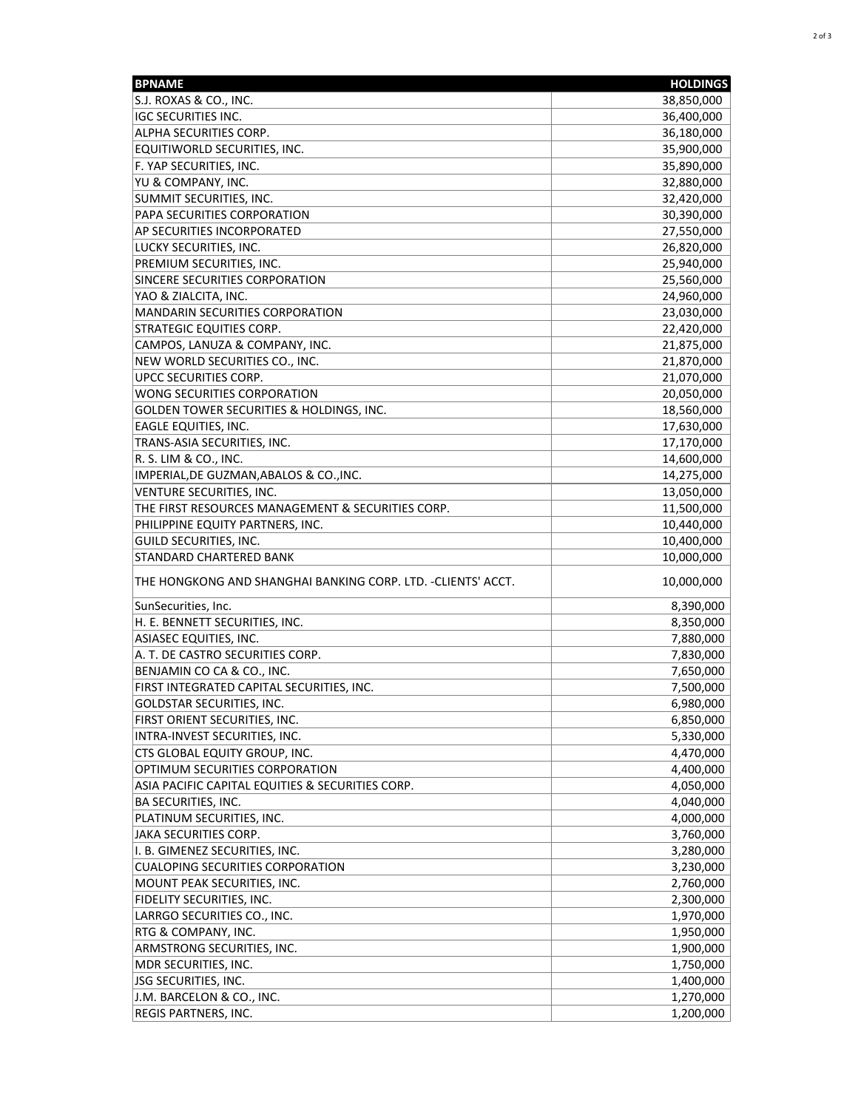| <b>BPNAME</b>                                                | <b>HOLDINGS</b> |
|--------------------------------------------------------------|-----------------|
| S.J. ROXAS & CO., INC.                                       | 38,850,000      |
| <b>IGC SECURITIES INC.</b>                                   | 36,400,000      |
| <b>ALPHA SECURITIES CORP.</b>                                | 36,180,000      |
| EQUITIWORLD SECURITIES, INC.                                 | 35,900,000      |
| F. YAP SECURITIES, INC.                                      | 35,890,000      |
| YU & COMPANY, INC.                                           | 32,880,000      |
| SUMMIT SECURITIES, INC.                                      | 32,420,000      |
| PAPA SECURITIES CORPORATION                                  | 30,390,000      |
| AP SECURITIES INCORPORATED                                   | 27,550,000      |
| LUCKY SECURITIES, INC.                                       | 26,820,000      |
| PREMIUM SECURITIES, INC.                                     | 25,940,000      |
| SINCERE SECURITIES CORPORATION                               | 25,560,000      |
| YAO & ZIALCITA, INC.                                         | 24,960,000      |
| <b>MANDARIN SECURITIES CORPORATION</b>                       | 23,030,000      |
| <b>STRATEGIC EQUITIES CORP.</b>                              | 22,420,000      |
| CAMPOS, LANUZA & COMPANY, INC.                               | 21,875,000      |
| NEW WORLD SECURITIES CO., INC.                               | 21,870,000      |
| UPCC SECURITIES CORP.                                        | 21,070,000      |
| <b>WONG SECURITIES CORPORATION</b>                           | 20,050,000      |
| <b>GOLDEN TOWER SECURITIES &amp; HOLDINGS, INC.</b>          | 18,560,000      |
| <b>EAGLE EQUITIES, INC.</b>                                  | 17,630,000      |
| TRANS-ASIA SECURITIES, INC.                                  | 17,170,000      |
| R. S. LIM & CO., INC.                                        | 14,600,000      |
| IMPERIAL, DE GUZMAN, ABALOS & CO., INC.                      | 14,275,000      |
| <b>VENTURE SECURITIES, INC.</b>                              | 13,050,000      |
| THE FIRST RESOURCES MANAGEMENT & SECURITIES CORP.            | 11,500,000      |
| PHILIPPINE EQUITY PARTNERS, INC.                             | 10,440,000      |
| <b>GUILD SECURITIES, INC.</b>                                | 10,400,000      |
| <b>STANDARD CHARTERED BANK</b>                               | 10,000,000      |
| THE HONGKONG AND SHANGHAI BANKING CORP. LTD. -CLIENTS' ACCT. | 10,000,000      |
| SunSecurities, Inc.                                          | 8,390,000       |
| H. E. BENNETT SECURITIES, INC.                               | 8,350,000       |
| <b>ASIASEC EQUITIES, INC.</b>                                | 7,880,000       |
| A. T. DE CASTRO SECURITIES CORP.                             | 7,830,000       |
| BENJAMIN CO CA & CO., INC.                                   | 7,650,000       |
| FIRST INTEGRATED CAPITAL SECURITIES, INC.                    | 7,500,000       |
| <b>GOLDSTAR SECURITIES, INC.</b>                             | 6,980,000       |
| FIRST ORIENT SECURITIES, INC.                                | 6,850,000       |
| INTRA-INVEST SECURITIES, INC.                                | 5,330,000       |
| CTS GLOBAL EQUITY GROUP, INC.                                | 4,470,000       |
| OPTIMUM SECURITIES CORPORATION                               | 4,400,000       |
| ASIA PACIFIC CAPITAL EQUITIES & SECURITIES CORP.             | 4,050,000       |
| <b>BA SECURITIES, INC.</b>                                   | 4,040,000       |
| PLATINUM SECURITIES, INC.                                    | 4,000,000       |
| <b>JAKA SECURITIES CORP.</b>                                 | 3,760,000       |
| I. B. GIMENEZ SECURITIES, INC.                               | 3,280,000       |
| <b>CUALOPING SECURITIES CORPORATION</b>                      | 3,230,000       |
| MOUNT PEAK SECURITIES, INC.                                  | 2,760,000       |
| FIDELITY SECURITIES, INC.                                    | 2,300,000       |
| LARRGO SECURITIES CO., INC.                                  | 1,970,000       |
| RTG & COMPANY, INC.                                          | 1,950,000       |
| ARMSTRONG SECURITIES, INC.                                   | 1,900,000       |
| MDR SECURITIES, INC.                                         | 1,750,000       |
| JSG SECURITIES, INC.                                         | 1,400,000       |
| J.M. BARCELON & CO., INC.                                    | 1,270,000       |
| REGIS PARTNERS, INC.                                         | 1,200,000       |